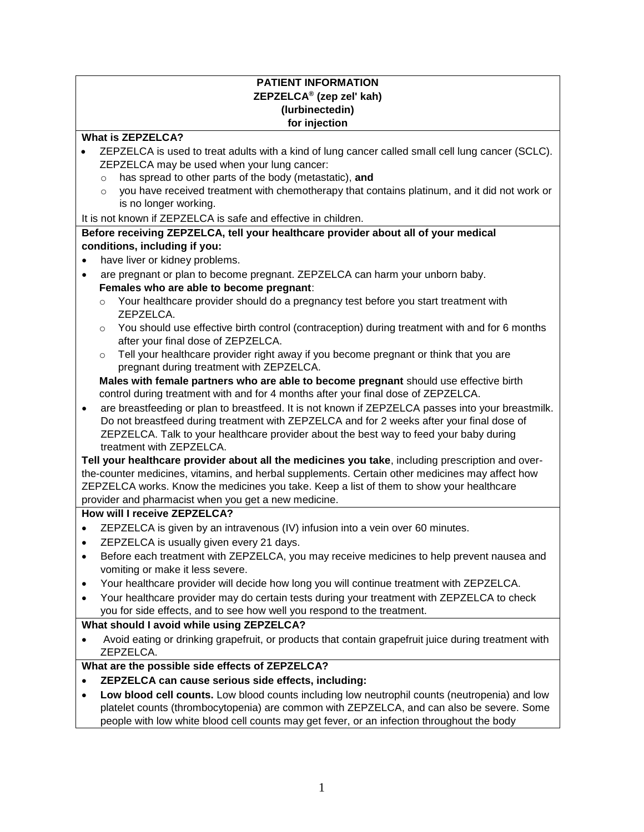## **PATIENT INFORMATION ZEPZELCA® (zep zel' kah) (lurbinectedin) for injection**

#### **What is ZEPZELCA?**

- ZEPZELCA is used to treat adults with a kind of lung cancer called small cell lung cancer (SCLC). ZEPZELCA may be used when your lung cancer:
	- o has spread to other parts of the body (metastatic), **and**
	- $\circ$  you have received treatment with chemotherapy that contains platinum, and it did not work or is no longer working.

It is not known if ZEPZELCA is safe and effective in children.

## **Before receiving ZEPZELCA, tell your healthcare provider about all of your medical conditions, including if you:**

- have liver or kidney problems.
- are pregnant or plan to become pregnant. ZEPZELCA can harm your unborn baby. **Females who are able to become pregnant**:
	- $\circ$  Your healthcare provider should do a pregnancy test before you start treatment with ZEPZELCA.
	- $\circ$  You should use effective birth control (contraception) during treatment with and for 6 months after your final dose of ZEPZELCA.
	- $\circ$  Tell your healthcare provider right away if you become pregnant or think that you are pregnant during treatment with ZEPZELCA.

**Males with female partners who are able to become pregnant** should use effective birth control during treatment with and for 4 months after your final dose of ZEPZELCA.

• are breastfeeding or plan to breastfeed. It is not known if ZEPZELCA passes into your breastmilk. Do not breastfeed during treatment with ZEPZELCA and for 2 weeks after your final dose of ZEPZELCA. Talk to your healthcare provider about the best way to feed your baby during treatment with ZEPZELCA.

**Tell your healthcare provider about all the medicines you take**, including prescription and overthe-counter medicines, vitamins, and herbal supplements. Certain other medicines may affect how ZEPZELCA works. Know the medicines you take. Keep a list of them to show your healthcare provider and pharmacist when you get a new medicine.

### **How will I receive ZEPZELCA?**

- ZEPZELCA is given by an intravenous (IV) infusion into a vein over 60 minutes.
- ZEPZELCA is usually given every 21 days.
- Before each treatment with ZEPZELCA, you may receive medicines to help prevent nausea and vomiting or make it less severe.
- Your healthcare provider will decide how long you will continue treatment with ZEPZELCA.
- Your healthcare provider may do certain tests during your treatment with ZEPZELCA to check you for side effects, and to see how well you respond to the treatment.

# **What should I avoid while using ZEPZELCA?**

• Avoid eating or drinking grapefruit, or products that contain grapefruit juice during treatment with ZEPZELCA.

# **What are the possible side effects of ZEPZELCA?**

- **ZEPZELCA can cause serious side effects, including:**
- **Low blood cell counts.** Low blood counts including low neutrophil counts (neutropenia) and low platelet counts (thrombocytopenia) are common with ZEPZELCA, and can also be severe. Some people with low white blood cell counts may get fever, or an infection throughout the body